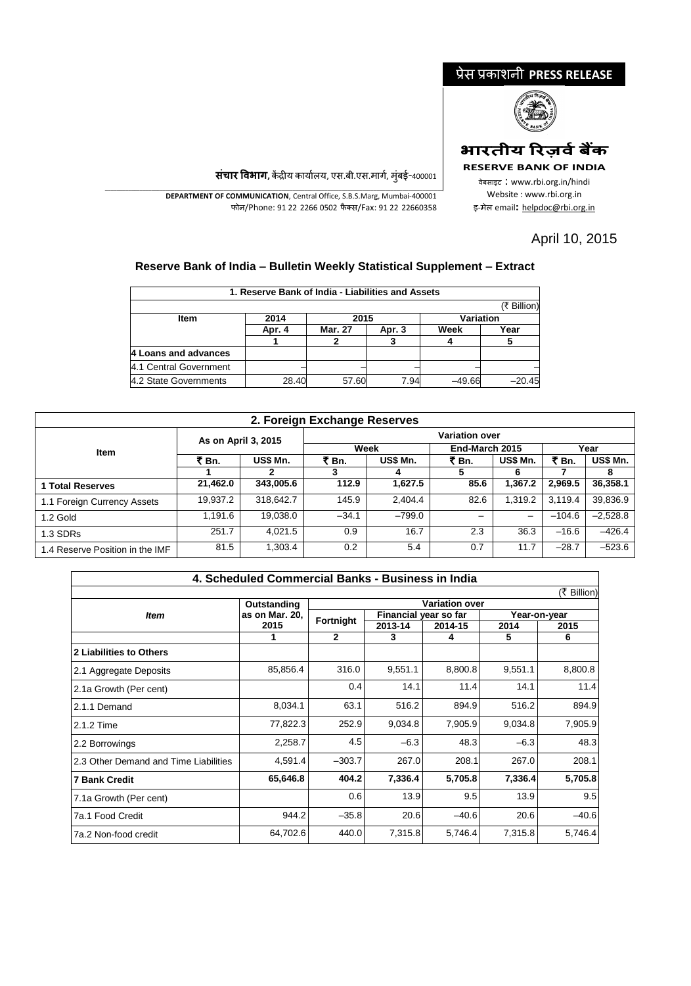## प्रेस प्रकाशनी **PRESS RELEASE**



## **भारतीय ररज़िवबैंक**

**RESERVE BANK OF INDIA**

वेबसाइट : www.rbi.org.in/hindi Website : www.rbi.org.in <sup>इ</sup>-मेल email**:** [helpdoc@rbi.org.in](mailto:helpdoc@rbi.org.in)

**संचार विभाग,** केंद्रीय कार्यालय, एस.बी.एस.मार्ग, मुंबई-400001 \_\_\_\_\_\_\_\_\_\_\_\_\_\_\_\_\_\_\_\_\_\_\_\_\_\_\_\_\_\_\_\_\_\_\_\_\_\_\_\_\_\_\_\_\_\_\_\_\_\_\_\_\_\_\_\_\_\_\_\_\_\_\_\_\_\_\_\_\_\_\_\_\_\_\_\_\_\_\_\_\_\_\_\_\_\_\_\_\_\_\_\_\_\_\_\_\_\_\_\_\_\_\_\_\_\_\_\_\_\_\_\_\_\_\_\_\_ **DEPARTMENT OF COMMUNICATION**, Central Office, S.B.S.Marg, Mumbai-400001

फोन/Phone: 91 22 2266 0502 फै क्स/Fax: 91 22 22660358

## April 10, 2015

## **Reserve Bank of India – Bulletin Weekly Statistical Supplement – Extract**

|                        | 1. Reserve Bank of India - Liabilities and Assets |                |        |                  |             |  |  |
|------------------------|---------------------------------------------------|----------------|--------|------------------|-------------|--|--|
|                        |                                                   |                |        |                  | (₹ Billion) |  |  |
| <b>Item</b>            | 2014                                              | 2015           |        | <b>Variation</b> |             |  |  |
|                        | Apr. 4                                            | <b>Mar. 27</b> | Apr. 3 | Week             | Year        |  |  |
|                        |                                                   |                |        |                  |             |  |  |
| 4 Loans and advances   |                                                   |                |        |                  |             |  |  |
| 4.1 Central Government |                                                   |                |        |                  |             |  |  |
| 4.2 State Governments  | 28.40                                             | 57.60          | 7.94   | $-49.66$         | $-20.45$    |  |  |

| 2. Foreign Exchange Reserves    |                     |           |                       |          |                |                          |          |                      |  |  |
|---------------------------------|---------------------|-----------|-----------------------|----------|----------------|--------------------------|----------|----------------------|--|--|
|                                 | As on April 3, 2015 |           | <b>Variation over</b> |          |                |                          |          |                      |  |  |
| <b>Item</b>                     |                     |           |                       | Week     | End-March 2015 |                          | Year     |                      |  |  |
|                                 | ₹<br>็ Bn.          | US\$ Mn.  | ₹ Bn.                 | US\$ Mn. | ₹ Bn.          | US\$ Mn.                 | ₹ Bn.    | <b>US\$ Mn.</b><br>8 |  |  |
|                                 |                     |           |                       |          |                | 6                        |          |                      |  |  |
| 1 Total Reserves                | 21,462.0            | 343,005.6 | 112.9                 | 1,627.5  | 85.6           | 1.367.2                  | 2.969.5  | 36,358.1             |  |  |
| 1.1 Foreign Currency Assets     | 19.937.2            | 318,642.7 | 145.9                 | 2,404.4  | 82.6           | 1.319.2                  | 3.119.4  | 39,836.9             |  |  |
| 1.2 Gold                        | 1.191.6             | 19.038.0  | $-34.1$               | $-799.0$ |                | $\overline{\phantom{0}}$ | $-104.6$ | $-2,528.8$           |  |  |
| 1.3 SDRs                        | 251.7               | 4.021.5   | 0.9                   | 16.7     | 2.3            | 36.3                     | $-16.6$  | $-426.4$             |  |  |
| 1.4 Reserve Position in the IMF | 81.5                | 1,303.4   | 0.2                   | 5.4      | 0.7            | 11.7                     | $-28.7$  | $-523.6$             |  |  |

| 4. Scheduled Commercial Banks - Business in India |                |                       |                       |         |         |              |  |  |  |  |
|---------------------------------------------------|----------------|-----------------------|-----------------------|---------|---------|--------------|--|--|--|--|
| (₹ Billion)                                       |                |                       |                       |         |         |              |  |  |  |  |
|                                                   | Outstanding    | <b>Variation over</b> |                       |         |         |              |  |  |  |  |
| <b>Item</b>                                       | as on Mar. 20. | Fortnight             | Financial year so far |         |         | Year-on-year |  |  |  |  |
|                                                   | 2015           |                       | 2013-14               | 2014-15 |         | 2015         |  |  |  |  |
|                                                   |                | 2                     | 3                     | 4       | 5       | 6            |  |  |  |  |
| 2 Liabilities to Others                           |                |                       |                       |         |         |              |  |  |  |  |
| 2.1 Aggregate Deposits                            | 85,856.4       | 316.0                 | 9,551.1               | 8,800.8 | 9,551.1 | 8,800.8      |  |  |  |  |
| 2.1a Growth (Per cent)                            |                | 0.4                   | 14.1                  | 11.4    | 14.1    | 11.4         |  |  |  |  |
| 2.1.1 Demand                                      | 8,034.1        | 63.1                  | 516.2                 | 894.9   | 516.2   | 894.9        |  |  |  |  |
| 2.1.2 Time                                        | 77,822.3       | 252.9                 | 9,034.8               | 7,905.9 | 9,034.8 | 7,905.9      |  |  |  |  |
| 2.2 Borrowings                                    | 2,258.7        | 4.5                   | $-6.3$                | 48.3    | $-6.3$  | 48.3         |  |  |  |  |
| 2.3 Other Demand and Time Liabilities             | 4,591.4        | $-303.7$              | 267.0                 | 208.1   | 267.0   | 208.1        |  |  |  |  |
| <b>7 Bank Credit</b>                              | 65,646.8       | 404.2                 | 7,336.4               | 5,705.8 | 7,336.4 | 5,705.8      |  |  |  |  |
| 7.1a Growth (Per cent)                            |                | 0.6                   | 13.9                  | 9.5     | 13.9    | 9.5          |  |  |  |  |
| 7a.1 Food Credit                                  | 944.2          | $-35.8$               | 20.6                  | $-40.6$ | 20.6    | $-40.6$      |  |  |  |  |
| 7a.2 Non-food credit                              | 64,702.6       | 440.0                 | 7,315.8               | 5,746.4 | 7,315.8 | 5,746.4      |  |  |  |  |